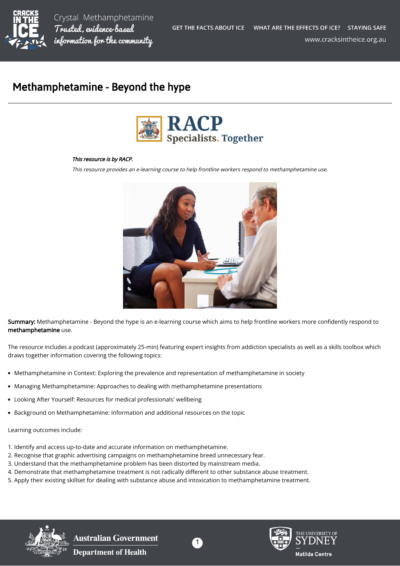

Crystal Methamphetamine Trusted, evidence-based information for the community

## Methamphetamine - Beyond the hype



## This resource is by RACP.

This resource provides an e-learning course to help frontline workers respond to methamphetamine use.



Summary: Methamphetamine - Beyond the hype is an e-learning course which aims to help frontline workers more confidently respond to methamphetamine use.

The resource includes a podcast (approximately 25-min) featuring expert insights from addiction specialists as well as a skills toolbox which draws together information covering the following topics:

- Methamphetamine in Context: Exploring the prevalence and representation of methamphetamine in society
- Managing Methamphetamine: Approaches to dealing with methamphetamine presentations
- Looking After Yourself: Resources for medical professionals' wellbeing
- Background on Methamphetamine: Information and additional resources on the topic

Learning outcomes include:

- 1. Identify and access up-to-date and accurate information on methamphetamine.
- 2. Recognise that graphic advertising campaigns on methamphetamine breed unnecessary fear.
- 3. Understand that the methamphetamine problem has been distorted by mainstream media.
- 4. Demonstrate that methamphetamine treatment is not radically different to other substance abuse treatment.
- 5. Apply their existing skillset for dealing with substance abuse and intoxication to methamphetamine treatment.



**Australian Government Department of Health**